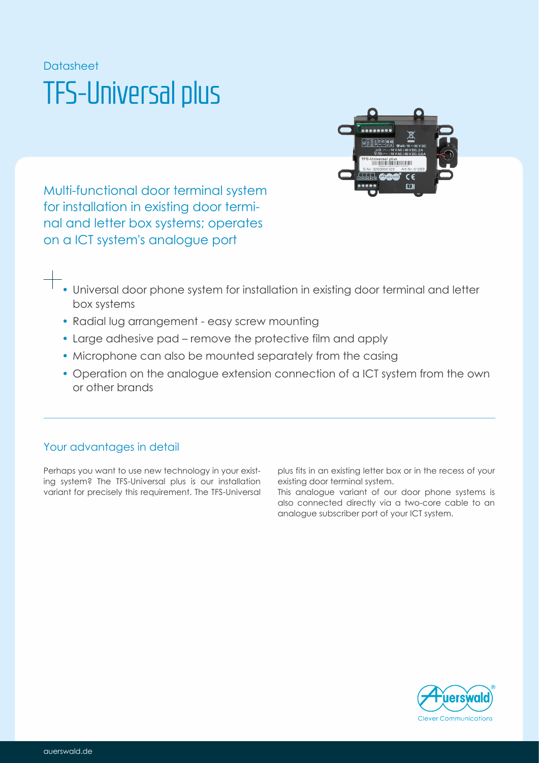# Datasheet TFS-Universal plus



Multi-functional door terminal system for installation in existing door terminal and letter box systems; operates on a ICT system's analogue port

- Universal door phone system for installation in existing door terminal and letter box systems
- Radial lug arrangement easy screw mounting
- Large adhesive pad remove the protective film and apply
- Microphone can also be mounted separately from the casing
- Operation on the analogue extension connection of a ICT system from the own or other brands

## Your advantages in detail

Perhaps you want to use new technology in your existing system? The TFS-Universal plus is our installation variant for precisely this requirement. The TFS-Universal plus fits in an existing letter box or in the recess of your existing door terminal system.

This analogue variant of our door phone systems is also connected directly via a two-core cable to an analogue subscriber port of your ICT system.